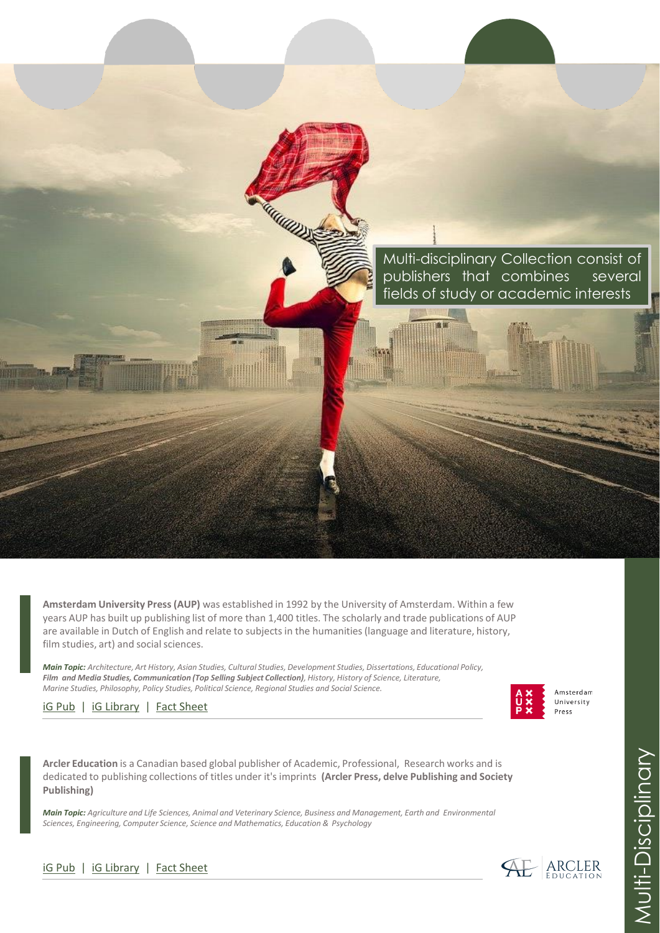Multi-disciplinary Collection consist of publishers that combines several fields of study or academic interests

**ME 08** 

**Amsterdam University Press (AUP)** was established in 1992 by the University of Amsterdam. Within a few years AUP has built up publishing list of more than 1,400 titles. The scholarly and trade publications of AUP are available in Dutch of English and relate to subjects in the humanities (language and literature, history, film studies, art) and social sciences.

**ARACARDOS** 

*Main Topic: Architecture, Art History, Asian Studies, Cultural Studies, Development Studies, Dissertations, Educational Policy, Film and Media Studies, Communication (Top Selling Subject Collection), History, History of Science, Literature, Marine Studies, Philosophy, Policy Studies, Political Science, Regional Studies and Social Science.*

[iG Pub](https://www.igpublish.com/amsterdam-university-press/) | [iG Library](https://portal.igpublish.com/iglibrary/database?dtbs=aup) | [Fact Sheet](https://www.igpublish.com/wp-content/uploads/2021/02/Amsterdam-University-Press-AUP.pdf)

**Arcler Education** is a Canadian based global publisher of Academic, Professional, Research works and is dedicated to publishing collections of titles under it's imprints **(Arcler Press, delve Publishing and Society Publishing)**

*Main Topic: Agriculture and Life Sciences, Animal and Veterinary Science, Business and Management, Earth and Environmental Sciences, Engineering, Computer Science, Science and Mathematics, Education & Psychology*





Amsterdam University Press